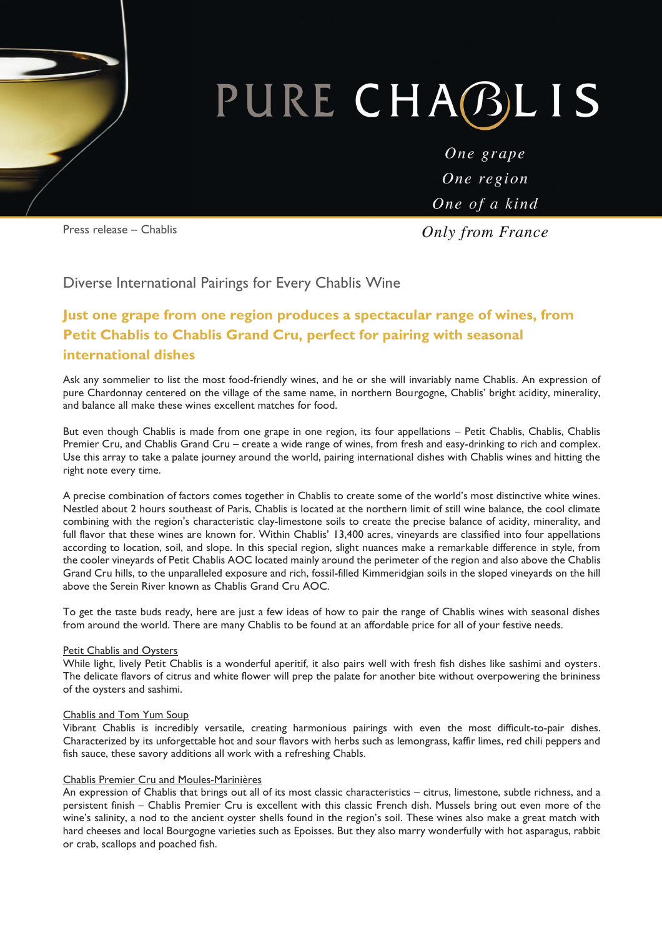# PURE CHABLI  $\mathsf{S}$

One grape One region One of a kind

Press release – Chablis

**Only from France** 

## Diverse International Pairings for Every Chablis Wine

# **Just one grape from one region produces a spectacular range of wines, from Petit Chablis to Chablis Grand Cru, perfect for pairing with seasonal international dishes**

Ask any sommelier to list the most food-friendly wines, and he or she will invariably name Chablis. An expression of pure Chardonnay centered on the village of the same name, in northern Bourgogne, Chablis' bright acidity, minerality, and balance all make these wines excellent matches for food.

But even though Chablis is made from one grape in one region, its four appellations – Petit Chablis, Chablis, Chablis Premier Cru, and Chablis Grand Cru – create a wide range of wines, from fresh and easy-drinking to rich and complex. Use this array to take a palate journey around the world, pairing international dishes with Chablis wines and hitting the right note every time.

A precise combination of factors comes together in Chablis to create some of the world's most distinctive white wines. Nestled about 2 hours southeast of Paris, Chablis is located at the northern limit of still wine balance, the cool climate combining with the region's characteristic clay-limestone soils to create the precise balance of acidity, minerality, and full flavor that these wines are known for. Within Chablis' 13,400 acres, vineyards are classified into four appellations according to location, soil, and slope. In this special region, slight nuances make a remarkable difference in style, from the cooler vineyards of Petit Chablis AOC located mainly around the perimeter of the region and also above the Chablis Grand Cru hills, to the unparalleled exposure and rich, fossil-filled Kimmeridgian soils in the sloped vineyards on the hill above the Serein River known as Chablis Grand Cru AOC.

To get the taste buds ready, here are just a few ideas of how to pair the range of Chablis wines with seasonal dishes from around the world. There are many Chablis to be found at an affordable price for all of your festive needs.

#### Petit Chablis and Oysters

While light, lively Petit Chablis is a wonderful aperitif, it also pairs well with fresh fish dishes like sashimi and oysters. The delicate flavors of citrus and white flower will prep the palate for another bite without overpowering the brininess of the oysters and sashimi.

#### Chablis and Tom Yum Soup

Vibrant Chablis is incredibly versatile, creating harmonious pairings with even the most difficult-to-pair dishes. Characterized by its unforgettable hot and sour flavors with herbs such as lemongrass, kaffir limes, red chili peppers and fish sauce, these savory additions all work with a refreshing Chabls.

#### Chablis Premier Cru and Moules-Marinières

An expression of Chablis that brings out all of its most classic characteristics – citrus, limestone, subtle richness, and a persistent finish – Chablis Premier Cru is excellent with this classic French dish. Mussels bring out even more of the wine's salinity, a nod to the ancient oyster shells found in the region's soil. These wines also make a great match with hard cheeses and local Bourgogne varieties such as Epoisses. But they also marry wonderfully with hot asparagus, rabbit or crab, scallops and poached fish.